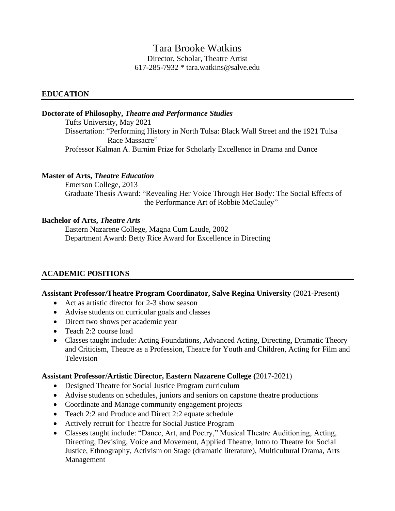# Tara Brooke Watkins

Director, Scholar, Theatre Artist 617-285-7932 \* tara.watkins@salve.edu

### **EDUCATION**

### **Doctorate of Philosophy,** *Theatre and Performance Studies*

Tufts University, May 2021 Dissertation: "Performing History in North Tulsa: Black Wall Street and the 1921 Tulsa Race Massacre" Professor Kalman A. Burnim Prize for Scholarly Excellence in Drama and Dance

### **Master of Arts,** *Theatre Education*

Emerson College, 2013 Graduate Thesis Award: "Revealing Her Voice Through Her Body: The Social Effects of the Performance Art of Robbie McCauley"

### **Bachelor of Arts,** *Theatre Arts*

Eastern Nazarene College, Magna Cum Laude, 2002 Department Award: Betty Rice Award for Excellence in Directing

### **ACADEMIC POSITIONS**

### **Assistant Professor/Theatre Program Coordinator, Salve Regina University** (2021-Present)

- Act as artistic director for 2-3 show season
- Advise students on curricular goals and classes
- Direct two shows per academic year
- Teach 2:2 course load
- Classes taught include: Acting Foundations, Advanced Acting, Directing, Dramatic Theory and Criticism, Theatre as a Profession, Theatre for Youth and Children, Acting for Film and Television

#### **Assistant Professor/Artistic Director, Eastern Nazarene College (**2017-2021)

- Designed Theatre for Social Justice Program curriculum
- Advise students on schedules, juniors and seniors on capstone theatre productions
- Coordinate and Manage community engagement projects
- Teach 2:2 and Produce and Direct 2:2 equate schedule
- Actively recruit for Theatre for Social Justice Program
- Classes taught include: "Dance, Art, and Poetry," Musical Theatre Auditioning, Acting, Directing, Devising, Voice and Movement, Applied Theatre, Intro to Theatre for Social Justice, Ethnography, Activism on Stage (dramatic literature), Multicultural Drama, Arts Management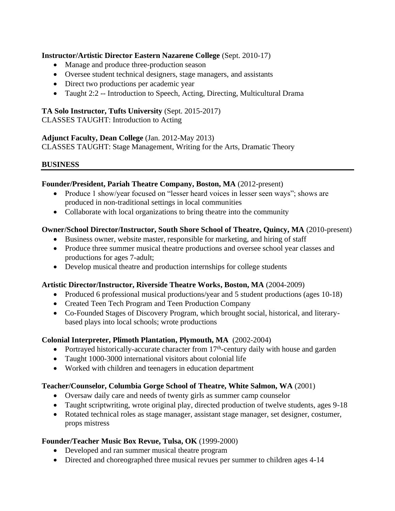### **Instructor/Artistic Director Eastern Nazarene College** (Sept. 2010-17)

- Manage and produce three-production season
- Oversee student technical designers, stage managers, and assistants
- Direct two productions per academic year
- Taught 2:2 -- Introduction to Speech, Acting, Directing, Multicultural Drama

### **TA Solo Instructor, Tufts University** (Sept. 2015-2017)

CLASSES TAUGHT: Introduction to Acting

### **Adjunct Faculty, Dean College** (Jan. 2012-May 2013)

CLASSES TAUGHT: Stage Management, Writing for the Arts, Dramatic Theory

### **BUSINESS**

### **Founder/President, Pariah Theatre Company, Boston, MA** (2012-present)

- Produce 1 show/year focused on "lesser heard voices in lesser seen ways"; shows are produced in non-traditional settings in local communities
- Collaborate with local organizations to bring theatre into the community

### **Owner/School Director/Instructor, South Shore School of Theatre, Quincy, MA** (2010-present)

- Business owner, website master, responsible for marketing, and hiring of staff
- Produce three summer musical theatre productions and oversee school year classes and productions for ages 7-adult;
- Develop musical theatre and production internships for college students

### **Artistic Director/Instructor, Riverside Theatre Works, Boston, MA** (2004-2009)

- Produced 6 professional musical productions/year and 5 student productions (ages 10-18)
- Created Teen Tech Program and Teen Production Company
- Co-Founded Stages of Discovery Program, which brought social, historical, and literarybased plays into local schools; wrote productions

### **Colonial Interpreter, Plimoth Plantation, Plymouth, MA** (2002-2004)

- Portrayed historically-accurate character from  $17<sup>th</sup>$ -century daily with house and garden
- Taught 1000-3000 international visitors about colonial life
- Worked with children and teenagers in education department

### **Teacher/Counselor, Columbia Gorge School of Theatre, White Salmon, WA** (2001)

- Oversaw daily care and needs of twenty girls as summer camp counselor
- Taught scriptwriting, wrote original play, directed production of twelve students, ages 9-18
- Rotated technical roles as stage manager, assistant stage manager, set designer, costumer, props mistress

### **Founder/Teacher Music Box Revue, Tulsa, OK** (1999-2000)

- Developed and ran summer musical theatre program
- Directed and choreographed three musical revues per summer to children ages 4-14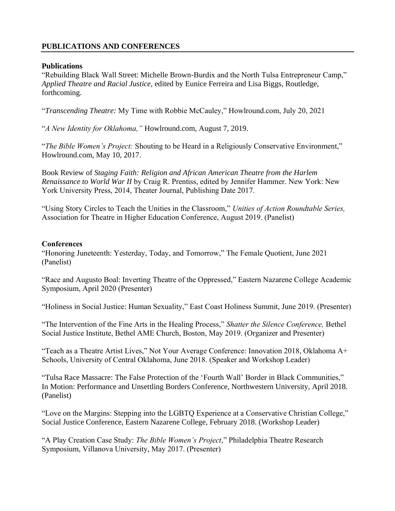## **PUBLICATIONS AND CONFERENCES**

### **Publications**

"Rebuilding Black Wall Street: Michelle Brown-Burdix and the North Tulsa Entrepreneur Camp," *Applied Theatre and Racial Justice,* edited by Eunice Ferreira and Lisa Biggs, Routledge, forthcoming.

"*Transcending Theatre:* My Time with Robbie McCauley," Howlround.com, July 20, 2021

"*A New Identity for Oklahoma,"* Howlround.com, August 7, 2019.

"*The Bible Women's Project:* Shouting to be Heard in a Religiously Conservative Environment," Howlround.com, May 10, 2017.

Book Review of *Staging Faith: Religion and African American Theatre from the Harlem Renaissance to World War II* by Craig R. Prentiss, edited by Jennifer Hammer. New York: New York University Press, 2014, Theater Journal, Publishing Date 2017.

"Using Story Circles to Teach the Unities in the Classroom," *Unities of Action Roundtable Series,* Association for Theatre in Higher Education Conference, August 2019. (Panelist)

### **Conferences**

"Honoring Juneteenth: Yesterday, Today, and Tomorrow," The Female Quotient, June 2021 (Panelist)

"Race and Augusto Boal: Inverting Theatre of the Oppressed," Eastern Nazarene College Academic Symposium, April 2020 (Presenter)

"Holiness in Social Justice: Human Sexuality," East Coast Holiness Summit, June 2019. (Presenter)

"The Intervention of the Fine Arts in the Healing Process," *Shatter the Silence Conference,* Bethel Social Justice Institute, Bethel AME Church, Boston, May 2019. (Organizer and Presenter)

"Teach as a Theatre Artist Lives," Not Your Average Conference: Innovation 2018, Oklahoma A+ Schools, University of Central Oklahoma, June 2018. (Speaker and Workshop Leader)

"Tulsa Race Massacre: The False Protection of the 'Fourth Wall' Border in Black Communities," In Motion: Performance and Unsettling Borders Conference, Northwestern University, April 2018. (Panelist)

"Love on the Margins: Stepping into the LGBTQ Experience at a Conservative Christian College," Social Justice Conference, Eastern Nazarene College, February 2018. (Workshop Leader)

"A Play Creation Case Study: *The Bible Women's Project*," Philadelphia Theatre Research Symposium, Villanova University, May 2017. (Presenter)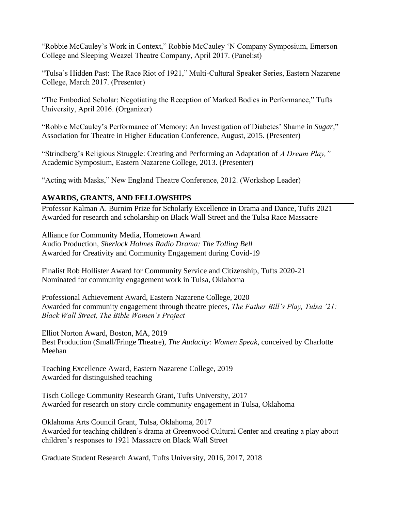"Robbie McCauley's Work in Context," Robbie McCauley 'N Company Symposium, Emerson College and Sleeping Weazel Theatre Company, April 2017. (Panelist)

"Tulsa's Hidden Past: The Race Riot of 1921," Multi-Cultural Speaker Series, Eastern Nazarene College, March 2017. (Presenter)

"The Embodied Scholar: Negotiating the Reception of Marked Bodies in Performance," Tufts University, April 2016. (Organizer)

"Robbie McCauley's Performance of Memory: An Investigation of Diabetes' Shame in *Sugar,*" Association for Theatre in Higher Education Conference, August, 2015. (Presenter)

"Strindberg's Religious Struggle: Creating and Performing an Adaptation of *A Dream Play,"*  Academic Symposium, Eastern Nazarene College, 2013. (Presenter)

"Acting with Masks," New England Theatre Conference, 2012. (Workshop Leader)

## **AWARDS, GRANTS, AND FELLOWSHIPS**

Professor Kalman A. Burnim Prize for Scholarly Excellence in Drama and Dance, Tufts 2021 Awarded for research and scholarship on Black Wall Street and the Tulsa Race Massacre

Alliance for Community Media, Hometown Award Audio Production, *Sherlock Holmes Radio Drama: The Tolling Bell* Awarded for Creativity and Community Engagement during Covid-19

Finalist Rob Hollister Award for Community Service and Citizenship, Tufts 2020-21 Nominated for community engagement work in Tulsa, Oklahoma

Professional Achievement Award, Eastern Nazarene College, 2020 Awarded for community engagement through theatre pieces, *The Father Bill's Play, Tulsa '21: Black Wall Street, The Bible Women's Project*

Elliot Norton Award, Boston, MA, 2019 Best Production (Small/Fringe Theatre), *The Audacity: Women Speak*, conceived by Charlotte Meehan

Teaching Excellence Award, Eastern Nazarene College, 2019 Awarded for distinguished teaching

Tisch College Community Research Grant, Tufts University, 2017 Awarded for research on story circle community engagement in Tulsa, Oklahoma

Oklahoma Arts Council Grant, Tulsa, Oklahoma, 2017 Awarded for teaching children's drama at Greenwood Cultural Center and creating a play about children's responses to 1921 Massacre on Black Wall Street

Graduate Student Research Award, Tufts University, 2016, 2017, 2018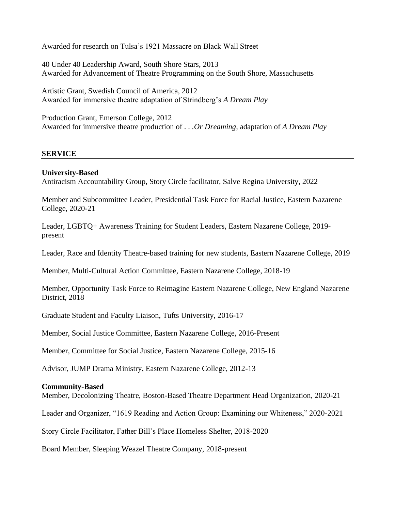Awarded for research on Tulsa's 1921 Massacre on Black Wall Street

40 Under 40 Leadership Award, South Shore Stars, 2013 Awarded for Advancement of Theatre Programming on the South Shore, Massachusetts

Artistic Grant, Swedish Council of America, 2012 Awarded for immersive theatre adaptation of Strindberg's *A Dream Play*

Production Grant, Emerson College, 2012 Awarded for immersive theatre production of *. . .Or Dreaming,* adaptation of *A Dream Play*

### **SERVICE**

### **University-Based**

Antiracism Accountability Group, Story Circle facilitator, Salve Regina University, 2022

Member and Subcommittee Leader, Presidential Task Force for Racial Justice, Eastern Nazarene College, 2020-21

Leader, LGBTQ+ Awareness Training for Student Leaders, Eastern Nazarene College, 2019 present

Leader, Race and Identity Theatre-based training for new students, Eastern Nazarene College, 2019

Member, Multi-Cultural Action Committee, Eastern Nazarene College, 2018-19

Member, Opportunity Task Force to Reimagine Eastern Nazarene College, New England Nazarene District, 2018

Graduate Student and Faculty Liaison, Tufts University, 2016-17

Member, Social Justice Committee, Eastern Nazarene College, 2016-Present

Member, Committee for Social Justice, Eastern Nazarene College, 2015-16

Advisor, JUMP Drama Ministry, Eastern Nazarene College, 2012-13

### **Community-Based**

Member, Decolonizing Theatre, Boston-Based Theatre Department Head Organization, 2020-21

Leader and Organizer, "1619 Reading and Action Group: Examining our Whiteness," 2020-2021

Story Circle Facilitator, Father Bill's Place Homeless Shelter, 2018-2020

Board Member, Sleeping Weazel Theatre Company, 2018-present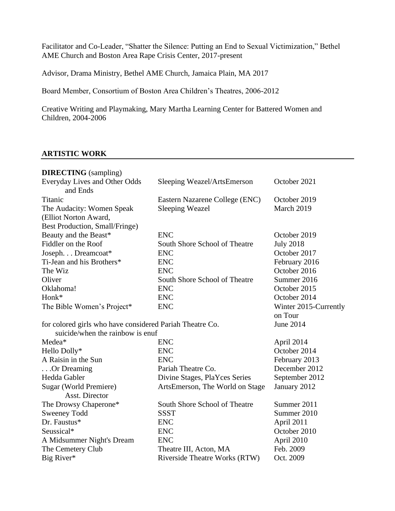Facilitator and Co-Leader, "Shatter the Silence: Putting an End to Sexual Victimization," Bethel AME Church and Boston Area Rape Crisis Center, 2017-present

Advisor, Drama Ministry, Bethel AME Church, Jamaica Plain, MA 2017

Board Member, Consortium of Boston Area Children's Theatres, 2006-2012

Creative Writing and Playmaking, Mary Martha Learning Center for Battered Women and Children, 2004-2006

### **ARTISTIC WORK**

| <b>DIRECTING</b> (sampling)                              |                                      |                       |  |  |
|----------------------------------------------------------|--------------------------------------|-----------------------|--|--|
| Everyday Lives and Other Odds<br>and Ends                | Sleeping Weazel/ArtsEmerson          | October 2021          |  |  |
| Titanic                                                  | Eastern Nazarene College (ENC)       | October 2019          |  |  |
| The Audacity: Women Speak                                | <b>Sleeping Weazel</b>               | March 2019            |  |  |
| (Elliot Norton Award,                                    |                                      |                       |  |  |
| Best Production, Small/Fringe)                           |                                      |                       |  |  |
| Beauty and the Beast*                                    | <b>ENC</b>                           | October 2019          |  |  |
| Fiddler on the Roof                                      | South Shore School of Theatre        | <b>July 2018</b>      |  |  |
| Joseph. Dreamcoat*                                       | <b>ENC</b>                           | October 2017          |  |  |
| Ti-Jean and his Brothers*                                | <b>ENC</b>                           | February 2016         |  |  |
| The Wiz                                                  | <b>ENC</b>                           | October 2016          |  |  |
| Oliver                                                   | South Shore School of Theatre        | Summer 2016           |  |  |
| Oklahoma!                                                | <b>ENC</b>                           | October 2015          |  |  |
| Honk*                                                    | <b>ENC</b>                           | October 2014          |  |  |
| The Bible Women's Project*                               | <b>ENC</b>                           | Winter 2015-Currently |  |  |
|                                                          |                                      | on Tour               |  |  |
| for colored girls who have considered Pariah Theatre Co. |                                      | <b>June 2014</b>      |  |  |
| suicide/when the rainbow is enuf                         |                                      |                       |  |  |
| Medea*                                                   | <b>ENC</b>                           | April 2014            |  |  |
| Hello Dolly*                                             | <b>ENC</b>                           | October 2014          |  |  |
| A Raisin in the Sun                                      | <b>ENC</b>                           | February 2013         |  |  |
| Or Dreaming                                              | Pariah Theatre Co.                   | December 2012         |  |  |
| Hedda Gabler                                             | Divine Stages, PlaYces Series        | September 2012        |  |  |
| Sugar (World Premiere)                                   | ArtsEmerson, The World on Stage      | January 2012          |  |  |
| Asst. Director                                           |                                      |                       |  |  |
| The Drowsy Chaperone*                                    | South Shore School of Theatre        | Summer 2011           |  |  |
| <b>Sweeney Todd</b>                                      | <b>SSST</b>                          | Summer 2010           |  |  |
| Dr. Faustus*                                             | <b>ENC</b>                           | April 2011            |  |  |
| Seussical*                                               | <b>ENC</b>                           | October 2010          |  |  |
| A Midsummer Night's Dream                                | <b>ENC</b>                           | April 2010            |  |  |
| The Cemetery Club                                        | Theatre III, Acton, MA               | Feb. 2009             |  |  |
| Big River*                                               | <b>Riverside Theatre Works (RTW)</b> | Oct. 2009             |  |  |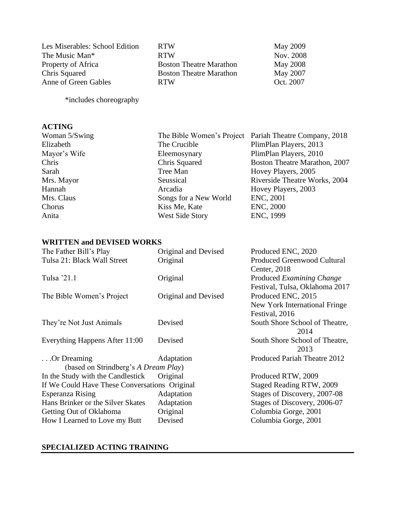Les Miserables: School Edition RTW May 2009 The Music Man\* RTW RTW Nov. 2008 Property of Africa Boston Theatre Marathon May 2008 Chris Squared Boston Theatre Marathon May 2007 Anne of Green Gables RTW Oct. 2007

\*includes choreography

### **ACTING**

Woman 5/Swing The Bible Women's Project Pariah Theatre Company, 2018 Elizabeth The Crucible PlimPlan Players, 2013 Mayor's Wife **Eleemosynary** PlimPlan Players, 2010 Chris Chris Squared Boston Theatre Marathon, 2007 Sarah Tree Man Hovey Players, 2005 Mrs. Mayor Seussical Seussical Riverside Theatre Works, 2004 Hannah Arcadia Hovey Players, 2003 Mrs. Claus Songs for a New World ENC, 2001 Chorus Kiss Me, Kate ENC, 2000 Anita West Side Story ENC, 1999

#### **WRITTEN and DEVISED WORKS**

| The Father Bill's Play                        | Original and Devised     | Produced ENC, 2020                 |
|-----------------------------------------------|--------------------------|------------------------------------|
| Tulsa 21: Black Wall Street                   | Original                 | <b>Produced Greenwood Cultural</b> |
|                                               |                          | Center, 2018                       |
| Tulsa '21.1                                   | Original                 | Produced Examining Change          |
|                                               |                          | Festival, Tulsa, Oklahoma 2017     |
| The Bible Women's Project                     | Original and Devised     | Produced ENC, 2015                 |
|                                               |                          | New York International Fringe      |
|                                               |                          | Festival, 2016                     |
| They're Not Just Animals                      | Devised                  | South Shore School of Theatre,     |
|                                               |                          | 2014                               |
| Everything Happens After 11:00                | Devised                  | South Shore School of Theatre,     |
|                                               |                          | 2013                               |
| $\ldots$ Or Dreaming                          | Adaptation               | Produced Pariah Theatre 2012       |
| (based on Strindberg's A Dream Play)          |                          |                                    |
| In the Study with the Candlestick             | Original                 | Produced RTW, 2009                 |
| If We Could Have These Conversations Original | Staged Reading RTW, 2009 |                                    |
| Esperanza Rising                              | Adaptation               | Stages of Discovery, 2007-08       |
| Hans Brinker or the Silver Skates             | Adaptation               | Stages of Discovery, 2006-07       |
| Getting Out of Oklahoma                       | Original                 | Columbia Gorge, 2001               |
| How I Learned to Love my Butt                 | Devised                  | Columbia Gorge, 2001               |
|                                               |                          |                                    |

### **SPECIALIZED ACTING TRAINING**